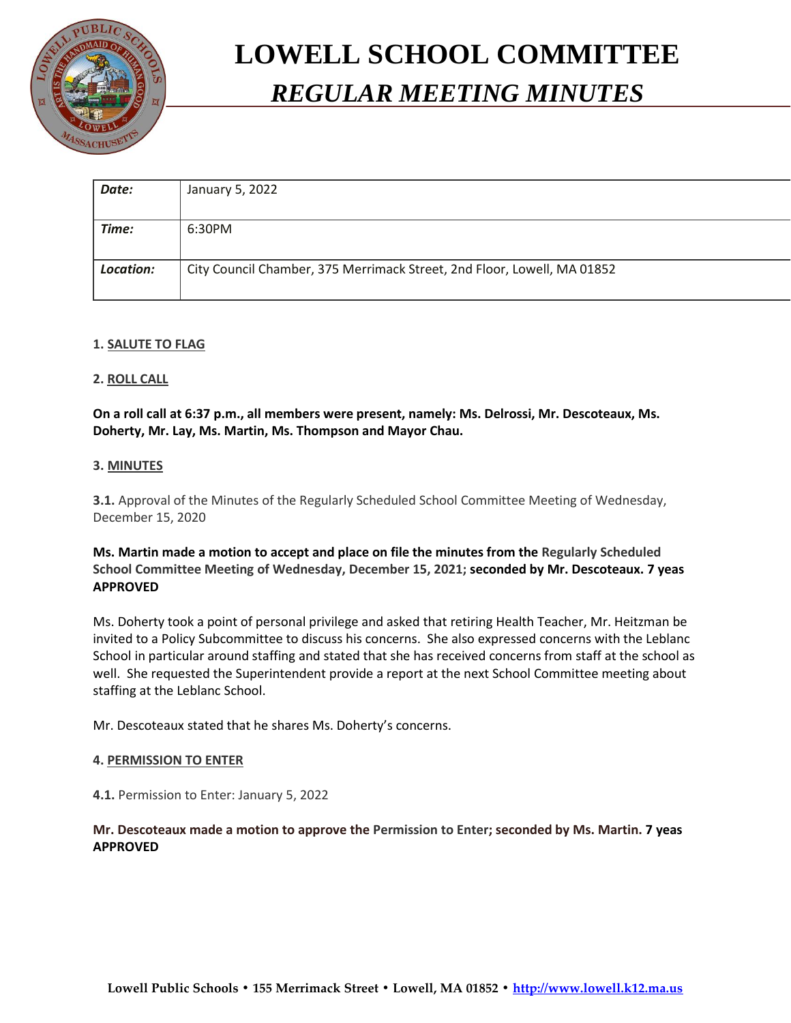

# **LOWELL SCHOOL COMMITTEE** *REGULAR MEETING MINUTES*

| Date:     | January 5, 2022                                                         |
|-----------|-------------------------------------------------------------------------|
|           |                                                                         |
| Time:     | 6:30PM                                                                  |
|           |                                                                         |
| Location: | City Council Chamber, 375 Merrimack Street, 2nd Floor, Lowell, MA 01852 |
|           |                                                                         |

## **1. SALUTE TO FLAG**

## **2. ROLL CALL**

**On a roll call at 6:37 p.m., all members were present, namely: Ms. Delrossi, Mr. Descoteaux, Ms. Doherty, Mr. Lay, Ms. Martin, Ms. Thompson and Mayor Chau.**

## **3. MINUTES**

**3.1.** Approval of the Minutes of the Regularly Scheduled School Committee Meeting of Wednesday, December 15, 2020

# **Ms. Martin made a motion to accept and place on file the minutes from the Regularly Scheduled School Committee Meeting of Wednesday, December 15, 2021; seconded by Mr. Descoteaux. 7 yeas APPROVED**

Ms. Doherty took a point of personal privilege and asked that retiring Health Teacher, Mr. Heitzman be invited to a Policy Subcommittee to discuss his concerns. She also expressed concerns with the Leblanc School in particular around staffing and stated that she has received concerns from staff at the school as well. She requested the Superintendent provide a report at the next School Committee meeting about staffing at the Leblanc School.

Mr. Descoteaux stated that he shares Ms. Doherty's concerns.

## **4. PERMISSION TO ENTER**

**4.1.** Permission to Enter: January 5, 2022

## **Mr. Descoteaux made a motion to approve the Permission to Enter; seconded by Ms. Martin. 7 yeas APPROVED**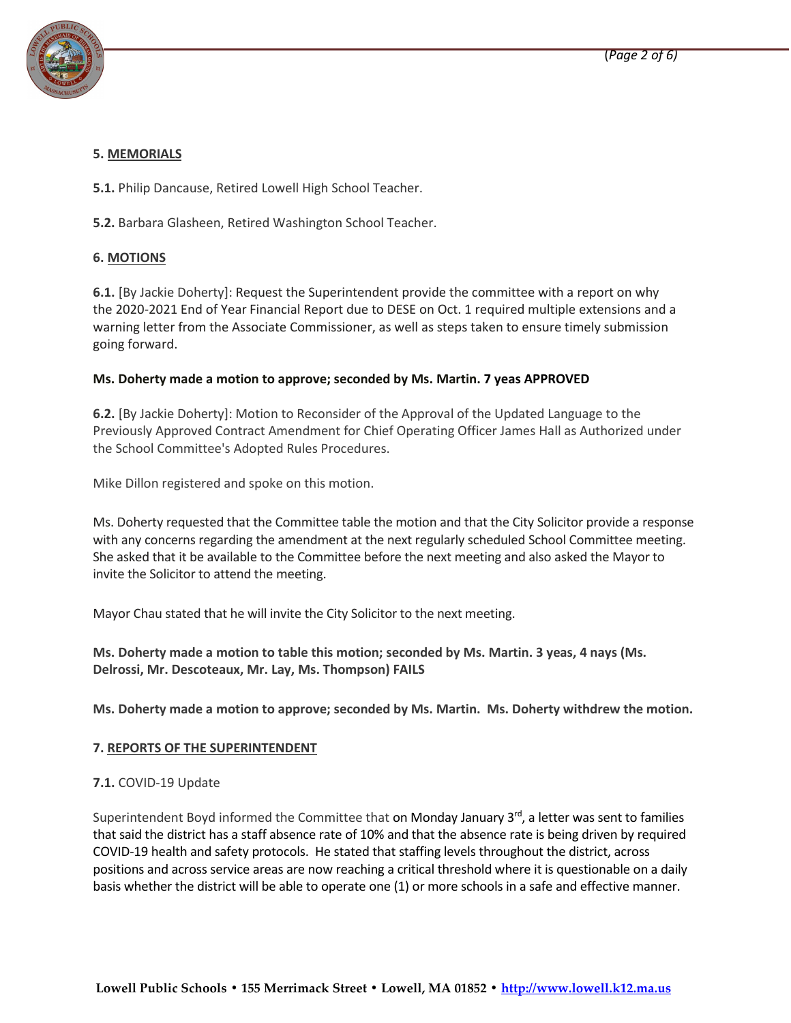

# **5. MEMORIALS**

**5.1.** Philip Dancause, Retired Lowell High School Teacher.

**5.2.** Barbara Glasheen, Retired Washington School Teacher.

## **6. MOTIONS**

**6.1.** [By Jackie Doherty]: Request the Superintendent provide the committee with a report on why the 2020-2021 End of Year Financial Report due to DESE on Oct. 1 required multiple extensions and a warning letter from the Associate Commissioner, as well as steps taken to ensure timely submission going forward.

## **Ms. Doherty made a motion to approve; seconded by Ms. Martin. 7 yeas APPROVED**

**6.2.** [By Jackie Doherty]: Motion to Reconsider of the Approval of the Updated Language to the Previously Approved Contract Amendment for Chief Operating Officer James Hall as Authorized under the School Committee's Adopted Rules Procedures.

Mike Dillon registered and spoke on this motion.

Ms. Doherty requested that the Committee table the motion and that the City Solicitor provide a response with any concerns regarding the amendment at the next regularly scheduled School Committee meeting. She asked that it be available to the Committee before the next meeting and also asked the Mayor to invite the Solicitor to attend the meeting.

Mayor Chau stated that he will invite the City Solicitor to the next meeting.

**Ms. Doherty made a motion to table this motion; seconded by Ms. Martin. 3 yeas, 4 nays (Ms. Delrossi, Mr. Descoteaux, Mr. Lay, Ms. Thompson) FAILS**

**Ms. Doherty made a motion to approve; seconded by Ms. Martin. Ms. Doherty withdrew the motion.**

## **7. REPORTS OF THE SUPERINTENDENT**

## **7.1.** COVID-19 Update

Superintendent Boyd informed the Committee that on Monday January 3<sup>rd</sup>, a letter was sent to families that said the district has a staff absence rate of 10% and that the absence rate is being driven by required COVID-19 health and safety protocols. He stated that staffing levels throughout the district, across positions and across service areas are now reaching a critical threshold where it is questionable on a daily basis whether the district will be able to operate one (1) or more schools in a safe and effective manner.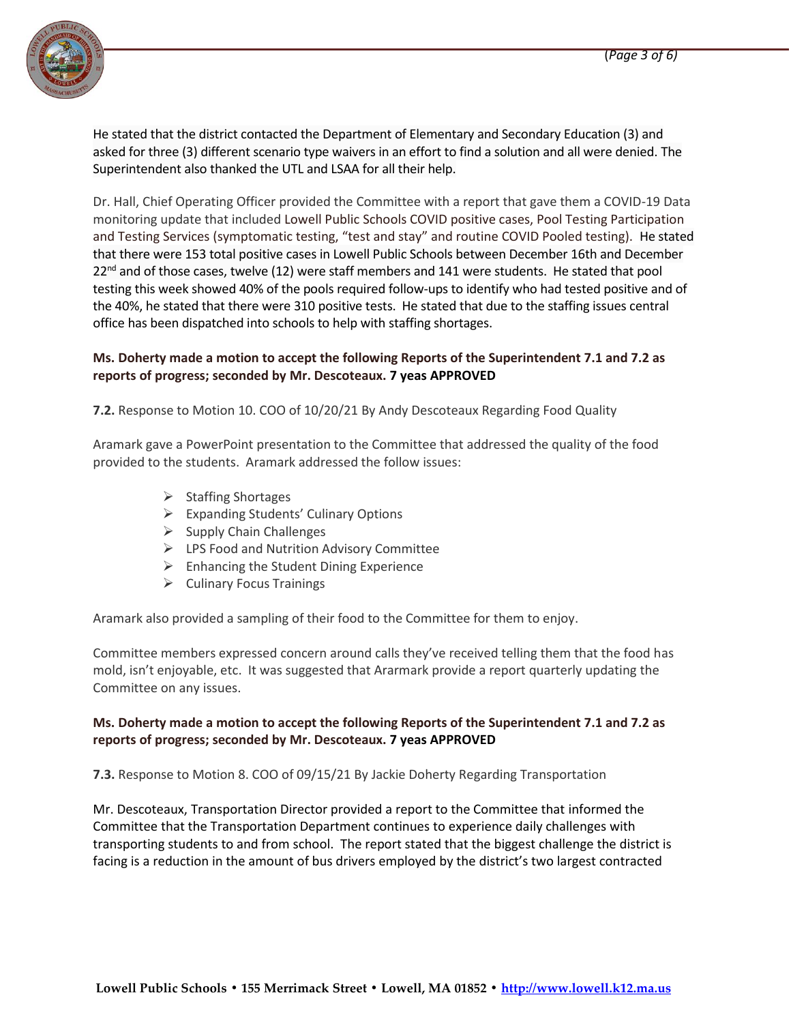

He stated that the district contacted the Department of Elementary and Secondary Education (3) and asked for three (3) different scenario type waivers in an effort to find a solution and all were denied. The Superintendent also thanked the UTL and LSAA for all their help.

Dr. Hall, Chief Operating Officer provided the Committee with a report that gave them a COVID-19 Data monitoring update that included Lowell Public Schools COVID positive cases, Pool Testing Participation and Testing Services (symptomatic testing, "test and stay" and routine COVID Pooled testing). He stated that there were 153 total positive cases in Lowell Public Schools between December 16th and December  $22<sup>nd</sup>$  and of those cases, twelve (12) were staff members and 141 were students. He stated that pool testing this week showed 40% of the pools required follow-ups to identify who had tested positive and of the 40%, he stated that there were 310 positive tests. He stated that due to the staffing issues central office has been dispatched into schools to help with staffing shortages.

# **Ms. Doherty made a motion to accept the following Reports of the Superintendent 7.1 and 7.2 as reports of progress; seconded by Mr. Descoteaux. 7 yeas APPROVED**

**7.2.** Response to Motion 10. COO of 10/20/21 By Andy Descoteaux Regarding Food Quality

Aramark gave a PowerPoint presentation to the Committee that addressed the quality of the food provided to the students. Aramark addressed the follow issues:

- $\triangleright$  Staffing Shortages
- $\triangleright$  Expanding Students' Culinary Options
- $\triangleright$  Supply Chain Challenges
- LPS Food and Nutrition Advisory Committee
- $\triangleright$  Enhancing the Student Dining Experience
- $\triangleright$  Culinary Focus Trainings

Aramark also provided a sampling of their food to the Committee for them to enjoy.

Committee members expressed concern around calls they've received telling them that the food has mold, isn't enjoyable, etc. It was suggested that Ararmark provide a report quarterly updating the Committee on any issues.

## **Ms. Doherty made a motion to accept the following Reports of the Superintendent 7.1 and 7.2 as reports of progress; seconded by Mr. Descoteaux. 7 yeas APPROVED**

**7.3.** Response to Motion 8. COO of 09/15/21 By Jackie Doherty Regarding Transportation

Mr. Descoteaux, Transportation Director provided a report to the Committee that informed the Committee that the Transportation Department continues to experience daily challenges with transporting students to and from school. The report stated that the biggest challenge the district is facing is a reduction in the amount of bus drivers employed by the district's two largest contracted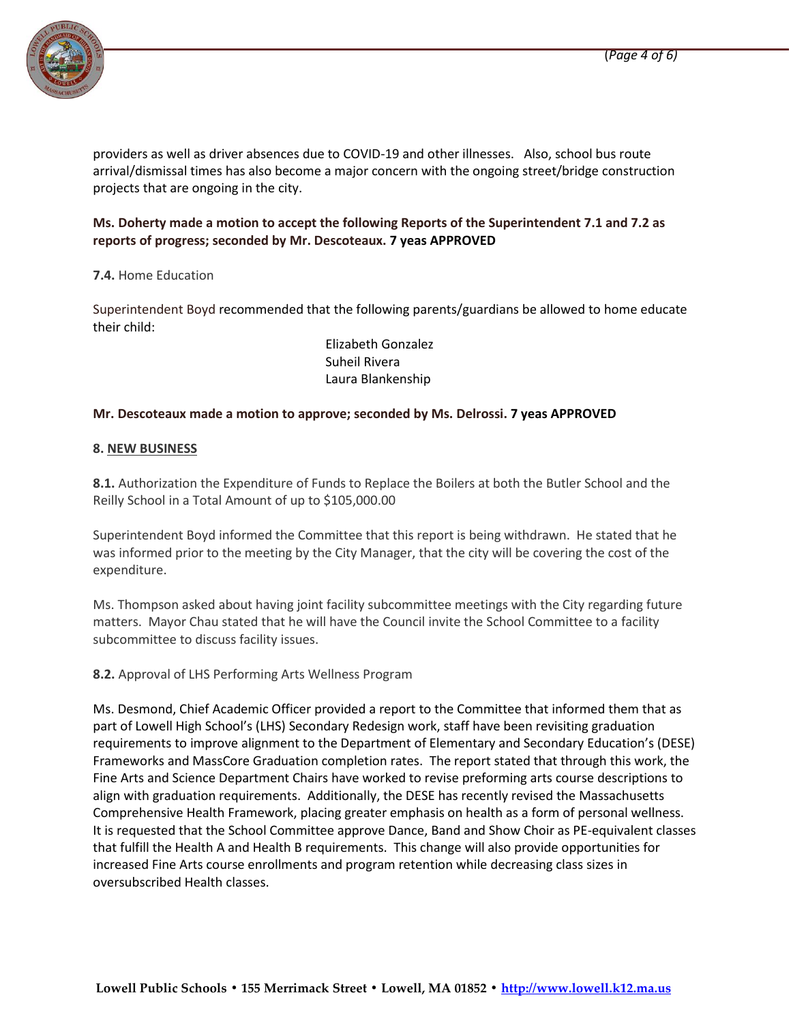

providers as well as driver absences due to COVID-19 and other illnesses. Also, school bus route arrival/dismissal times has also become a major concern with the ongoing street/bridge construction projects that are ongoing in the city.

# **Ms. Doherty made a motion to accept the following Reports of the Superintendent 7.1 and 7.2 as reports of progress; seconded by Mr. Descoteaux. 7 yeas APPROVED**

## **7.4.** Home Education

Superintendent Boyd recommended that the following parents/guardians be allowed to home educate their child:

> Elizabeth Gonzalez Suheil Rivera Laura Blankenship

## **Mr. Descoteaux made a motion to approve; seconded by Ms. Delrossi. 7 yeas APPROVED**

## **8. NEW BUSINESS**

**8.1.** Authorization the Expenditure of Funds to Replace the Boilers at both the Butler School and the Reilly School in a Total Amount of up to \$105,000.00

Superintendent Boyd informed the Committee that this report is being withdrawn. He stated that he was informed prior to the meeting by the City Manager, that the city will be covering the cost of the expenditure.

Ms. Thompson asked about having joint facility subcommittee meetings with the City regarding future matters. Mayor Chau stated that he will have the Council invite the School Committee to a facility subcommittee to discuss facility issues.

## **8.2.** Approval of LHS Performing Arts Wellness Program

Ms. Desmond, Chief Academic Officer provided a report to the Committee that informed them that as part of Lowell High School's (LHS) Secondary Redesign work, staff have been revisiting graduation requirements to improve alignment to the Department of Elementary and Secondary Education's (DESE) Frameworks and MassCore Graduation completion rates. The report stated that through this work, the Fine Arts and Science Department Chairs have worked to revise preforming arts course descriptions to align with graduation requirements. Additionally, the DESE has recently revised the Massachusetts Comprehensive Health Framework, placing greater emphasis on health as a form of personal wellness. It is requested that the School Committee approve Dance, Band and Show Choir as PE-equivalent classes that fulfill the Health A and Health B requirements. This change will also provide opportunities for increased Fine Arts course enrollments and program retention while decreasing class sizes in oversubscribed Health classes.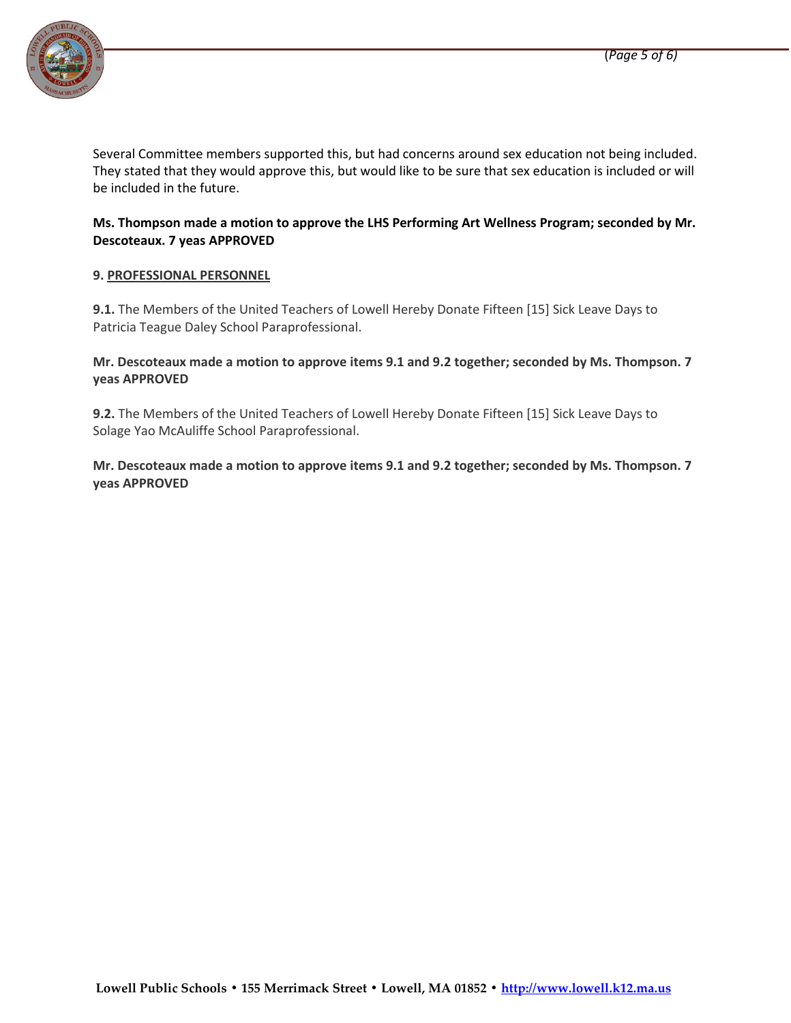

Several Committee members supported this, but had concerns around sex education not being included. They stated that they would approve this, but would like to be sure that sex education is included or will be included in the future.

# **Ms. Thompson made a motion to approve the LHS Performing Art Wellness Program; seconded by Mr. Descoteaux. 7 yeas APPROVED**

## **9. PROFESSIONAL PERSONNEL**

**9.1.** The Members of the United Teachers of Lowell Hereby Donate Fifteen [15] Sick Leave Days to Patricia Teague Daley School Paraprofessional.

## **Mr. Descoteaux made a motion to approve items 9.1 and 9.2 together; seconded by Ms. Thompson. 7 yeas APPROVED**

**9.2.** The Members of the United Teachers of Lowell Hereby Donate Fifteen [15] Sick Leave Days to Solage Yao McAuliffe School Paraprofessional.

**Mr. Descoteaux made a motion to approve items 9.1 and 9.2 together; seconded by Ms. Thompson. 7 yeas APPROVED**